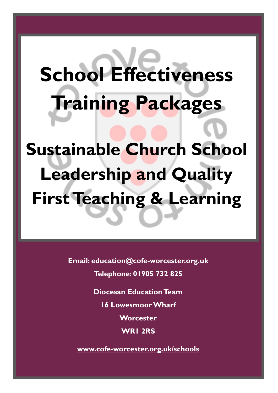# **School Effectiveness Training Packages Sustainable Church School Leadership and Quality First Teaching & Learning**

**Email: [education@cofe-worcester.org.uk](mailto:education@cofe-worcester.org.uk)**

**Telephone: 01905 732 825**

**Diocesan Education Team**

**16 Lowesmoor Wharf**

**Worcester**

**WR1 2RS**

**[www.cofe-worcester.org.uk/schools](https://www.cofe-worcester.org.uk/schools/)**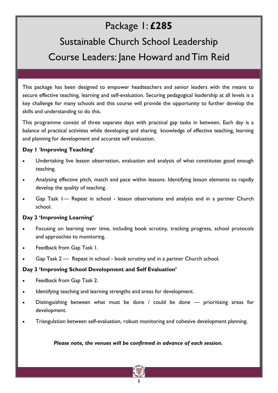# Package 1: **£285**

# Sustainable Church School Leadership Course Leaders: Jane Howard and Tim Reid

This package has been designed to empower headteachers and senior leaders with the means to secure effective teaching, learning and self-evaluation. Securing pedagogical leadership at all levels is a key challenge for many schools and this course will provide the opportunity to further develop the skills and understanding to do this.

This programme consist of three separate days with practical gap tasks in between. Each day is a balance of practical activities while developing and sharing knowledge of effective teaching, learning and planning for development and accurate self evaluation.

## **Day 1** '**Improving Teaching'**

- Undertaking live lesson observation, evaluation and analysis of what constitutes good enough teaching.
- Analysing effective pitch, match and pace within lessons. Identifying lesson elements to rapidly develop the quality of teaching.
- Gap Task 1— Repeat in school lesson observations and analysis and in a partner Church school.

## **Day 2 'Improving Learning'**

- Focusing on learning over time, including book scrutiny, tracking progress, school protocols and approaches to monitoring.
- Feedback from Gap Task 1.
- Gap Task 2 Repeat in school book scrutiny and in a partner Church school.

## **Day 3 'Improving School Development and Self Evaluation'**

- Feedback from Gap Task 2.
- Identifying teaching and learning strengths and areas for development.
- Distinguishing between what must be done / could be done prioritising areas for development.
- Triangulation between self-evaluation, robust monitoring and cohesive development planning.

#### *Please note, the venues will be confirmed in advance of each session.*